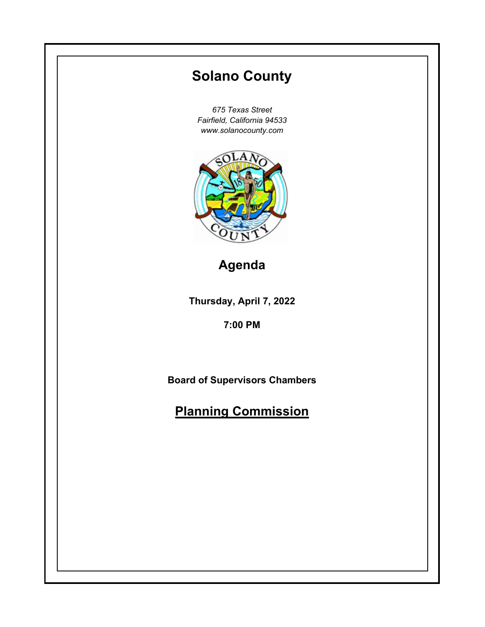# **Thursday, April 7, 2022 7:00 PM Solano County** *675 Texas Street Fairfield, California 94533 www.solanocounty.com* **Board of Supervisors Chambers Planning Commission Agenda**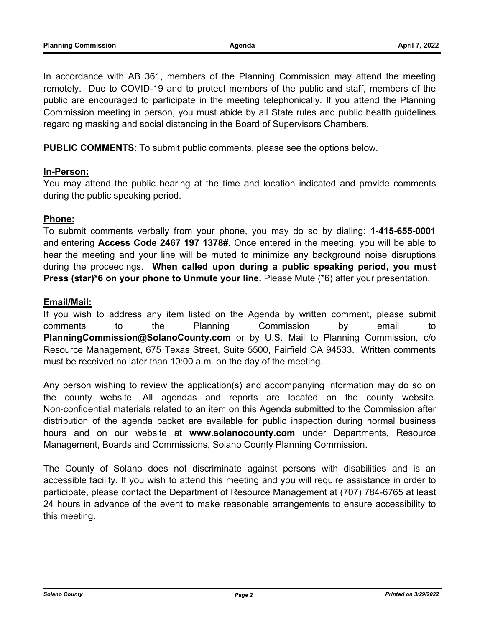In accordance with AB 361, members of the Planning Commission may attend the meeting remotely. Due to COVID-19 and to protect members of the public and staff, members of the public are encouraged to participate in the meeting telephonically. If you attend the Planning Commission meeting in person, you must abide by all State rules and public health guidelines regarding masking and social distancing in the Board of Supervisors Chambers.

**PUBLIC COMMENTS**: To submit public comments, please see the options below.

#### **In-Person:**

You may attend the public hearing at the time and location indicated and provide comments during the public speaking period.

#### **Phone:**

To submit comments verbally from your phone, you may do so by dialing: **1-415-655-0001** and entering **Access Code 2467 197 1378#**. Once entered in the meeting, you will be able to hear the meeting and your line will be muted to minimize any background noise disruptions during the proceedings. **When called upon during a public speaking period, you must**  Press (star)\*6 on your phone to Unmute your line. Please Mute (\*6) after your presentation.

#### **Email/Mail:**

If you wish to address any item listed on the Agenda by written comment, please submit comments to the Planning Commission by email to **PlanningCommission@SolanoCounty.com** or by U.S. Mail to Planning Commission, c/o Resource Management, 675 Texas Street, Suite 5500, Fairfield CA 94533. Written comments must be received no later than 10:00 a.m. on the day of the meeting.

Any person wishing to review the application(s) and accompanying information may do so on the county website. All agendas and reports are located on the county website. Non-confidential materials related to an item on this Agenda submitted to the Commission after distribution of the agenda packet are available for public inspection during normal business hours and on our website at **www.solanocounty.com** under Departments, Resource Management, Boards and Commissions, Solano County Planning Commission.

The County of Solano does not discriminate against persons with disabilities and is an accessible facility. If you wish to attend this meeting and you will require assistance in order to participate, please contact the Department of Resource Management at (707) 784-6765 at least 24 hours in advance of the event to make reasonable arrangements to ensure accessibility to this meeting.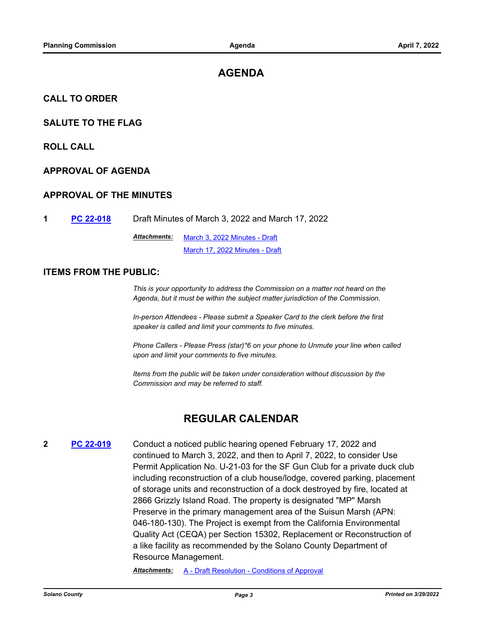# **AGENDA**

#### **CALL TO ORDER**

#### **SALUTE TO THE FLAG**

**ROLL CALL**

#### **APPROVAL OF AGENDA**

#### **APPROVAL OF THE MINUTES**

**1 [PC 22-018](http://solano.legistar.com/gateway.aspx?m=l&id=/matter.aspx?key=16863)** Draft Minutes of March 3, 2022 and March 17, 2022

[March 3, 2022 Minutes - Draft](http://solano.legistar.com/gateway.aspx?M=F&ID=6253d894-e240-4b16-9892-20952752d94a.pdf) [March 17, 2022 Minutes - Draft](http://solano.legistar.com/gateway.aspx?M=F&ID=c12d2ca1-7bf3-4317-92d9-bda782493247.pdf) *Attachments:*

#### **ITEMS FROM THE PUBLIC:**

*This is your opportunity to address the Commission on a matter not heard on the Agenda, but it must be within the subject matter jurisdiction of the Commission.* 

*In-person Attendees - Please submit a Speaker Card to the clerk before the first speaker is called and limit your comments to five minutes.* 

*Phone Callers - Please Press (star)\*6 on your phone to Unmute your line when called upon and limit your comments to five minutes.* 

*Items from the public will be taken under consideration without discussion by the Commission and may be referred to staff.*

# **REGULAR CALENDAR**

**2 [PC 22-019](http://solano.legistar.com/gateway.aspx?m=l&id=/matter.aspx?key=16864)** Conduct a noticed public hearing opened February 17, 2022 and continued to March 3, 2022, and then to April 7, 2022, to consider Use Permit Application No. U-21-03 for the SF Gun Club for a private duck club including reconstruction of a club house/lodge, covered parking, placement of storage units and reconstruction of a dock destroyed by fire, located at 2866 Grizzly Island Road. The property is designated "MP" Marsh Preserve in the primary management area of the Suisun Marsh (APN: 046-180-130). The Project is exempt from the California Environmental Quality Act (CEQA) per Section 15302, Replacement or Reconstruction of a like facility as recommended by the Solano County Department of Resource Management.

*Attachments:* [A - Draft Resolution - Conditions of Approval](http://solano.legistar.com/gateway.aspx?M=F&ID=82bb89cd-5f7e-49b5-953c-ebf78aab8ef7.pdf)